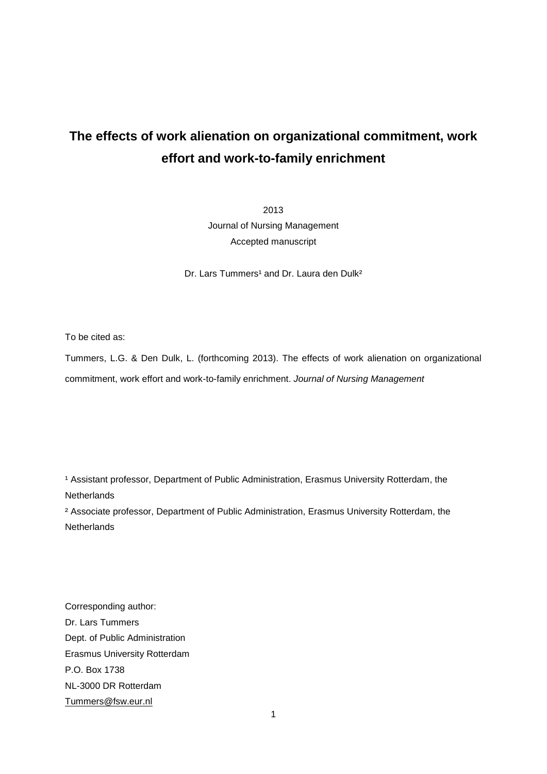# **The effects of work alienation on organizational commitment, work effort and work-to-family enrichment**

2013 Journal of Nursing Management Accepted manuscript

Dr. Lars Tummers<sup>1</sup> and Dr. Laura den Dulk<sup>2</sup>

To be cited as:

Tummers, L.G. & Den Dulk, L. (forthcoming 2013). The effects of work alienation on organizational commitment, work effort and work-to-family enrichment. *Journal of Nursing Management*

<sup>1</sup> Assistant professor, Department of Public Administration, Erasmus University Rotterdam, the **Netherlands** 

² Associate professor, Department of Public Administration, Erasmus University Rotterdam, the **Netherlands** 

Corresponding author: Dr. Lars Tummers Dept. of Public Administration Erasmus University Rotterdam P.O. Box 1738 NL-3000 DR Rotterdam [Tummers@fsw.eur.nl](mailto:Tummers@fsw.eur.nl)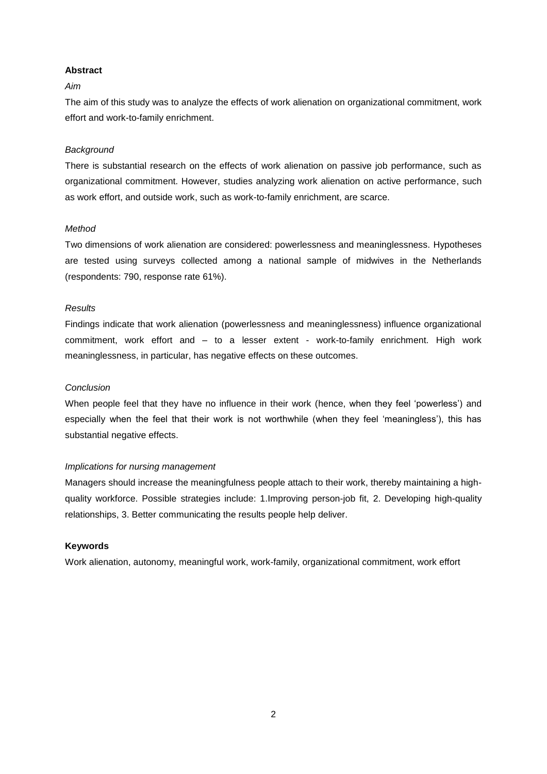# **Abstract**

# *Aim*

The aim of this study was to analyze the effects of work alienation on organizational commitment, work effort and work-to-family enrichment.

# *Background*

There is substantial research on the effects of work alienation on passive job performance, such as organizational commitment. However, studies analyzing work alienation on active performance, such as work effort, and outside work, such as work-to-family enrichment, are scarce.

# *Method*

Two dimensions of work alienation are considered: powerlessness and meaninglessness. Hypotheses are tested using surveys collected among a national sample of midwives in the Netherlands (respondents: 790, response rate 61%).

# *Results*

Findings indicate that work alienation (powerlessness and meaninglessness) influence organizational commitment, work effort and – to a lesser extent - work-to-family enrichment. High work meaninglessness, in particular, has negative effects on these outcomes.

# *Conclusion*

When people feel that they have no influence in their work (hence, when they feel 'powerless') and especially when the feel that their work is not worthwhile (when they feel 'meaningless'), this has substantial negative effects.

# *Implications for nursing management*

Managers should increase the meaningfulness people attach to their work, thereby maintaining a highquality workforce. Possible strategies include: 1.Improving person-job fit, 2. Developing high-quality relationships, 3. Better communicating the results people help deliver.

# **Keywords**

Work alienation, autonomy, meaningful work, work-family, organizational commitment, work effort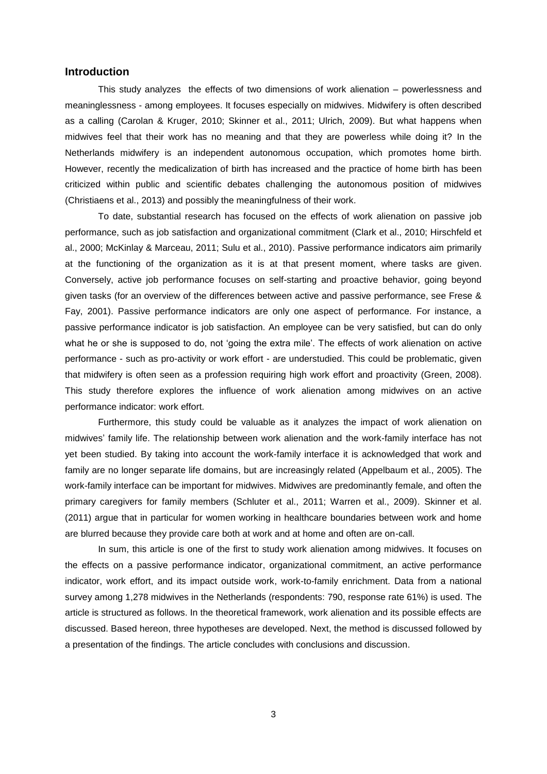# **Introduction**

This study analyzes the effects of two dimensions of work alienation – powerlessness and meaninglessness - among employees. It focuses especially on midwives. Midwifery is often described as a calling (Carolan & Kruger, 2010; Skinner et al., 2011; Ulrich, 2009). But what happens when midwives feel that their work has no meaning and that they are powerless while doing it? In the Netherlands midwifery is an independent autonomous occupation, which promotes home birth. However, recently the medicalization of birth has increased and the practice of home birth has been criticized within public and scientific debates challenging the autonomous position of midwives (Christiaens et al., 2013) and possibly the meaningfulness of their work.

To date, substantial research has focused on the effects of work alienation on passive job performance, such as job satisfaction and organizational commitment (Clark et al., 2010; Hirschfeld et al., 2000; McKinlay & Marceau, 2011; Sulu et al., 2010). Passive performance indicators aim primarily at the functioning of the organization as it is at that present moment, where tasks are given. Conversely, active job performance focuses on self-starting and proactive behavior, going beyond given tasks (for an overview of the differences between active and passive performance, see Frese & Fay, 2001). Passive performance indicators are only one aspect of performance. For instance, a passive performance indicator is job satisfaction. An employee can be very satisfied, but can do only what he or she is supposed to do, not 'going the extra mile'. The effects of work alienation on active performance - such as pro-activity or work effort - are understudied. This could be problematic, given that midwifery is often seen as a profession requiring high work effort and proactivity (Green, 2008). This study therefore explores the influence of work alienation among midwives on an active performance indicator: work effort.

Furthermore, this study could be valuable as it analyzes the impact of work alienation on midwives' family life. The relationship between work alienation and the work-family interface has not yet been studied. By taking into account the work-family interface it is acknowledged that work and family are no longer separate life domains, but are increasingly related (Appelbaum et al., 2005). The work-family interface can be important for midwives. Midwives are predominantly female, and often the primary caregivers for family members (Schluter et al., 2011; Warren et al., 2009). Skinner et al. (2011) argue that in particular for women working in healthcare boundaries between work and home are blurred because they provide care both at work and at home and often are on-call.

In sum, this article is one of the first to study work alienation among midwives. It focuses on the effects on a passive performance indicator, organizational commitment, an active performance indicator, work effort, and its impact outside work, work-to-family enrichment. Data from a national survey among 1,278 midwives in the Netherlands (respondents: 790, response rate 61%) is used. The article is structured as follows. In the theoretical framework, work alienation and its possible effects are discussed. Based hereon, three hypotheses are developed. Next, the method is discussed followed by a presentation of the findings. The article concludes with conclusions and discussion.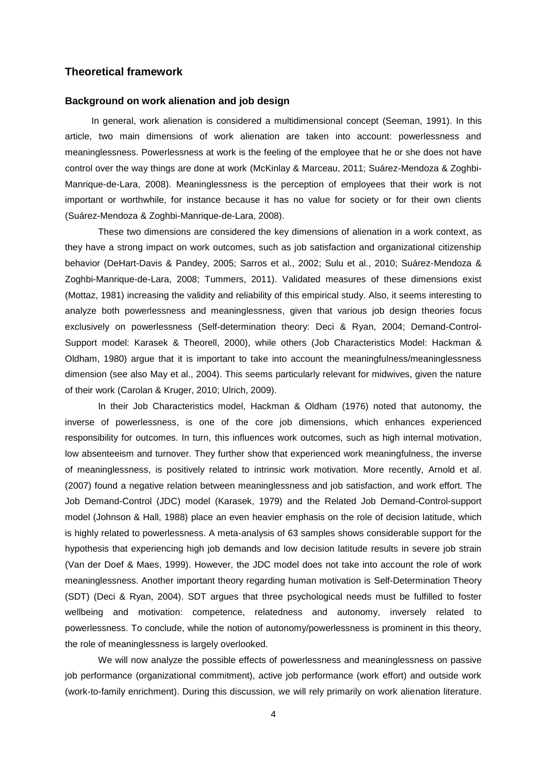# **Theoretical framework**

#### **Background on work alienation and job design**

In general, work alienation is considered a multidimensional concept (Seeman, 1991). In this article, two main dimensions of work alienation are taken into account: powerlessness and meaninglessness. Powerlessness at work is the feeling of the employee that he or she does not have control over the way things are done at work (McKinlay & Marceau, 2011; Suárez-Mendoza & Zoghbi-Manrique-de-Lara, 2008). Meaninglessness is the perception of employees that their work is not important or worthwhile, for instance because it has no value for society or for their own clients (Suárez-Mendoza & Zoghbi-Manrique-de-Lara, 2008).

These two dimensions are considered the key dimensions of alienation in a work context, as they have a strong impact on work outcomes, such as job satisfaction and organizational citizenship behavior (DeHart-Davis & Pandey, 2005; Sarros et al., 2002; Sulu et al., 2010; Suárez-Mendoza & Zoghbi-Manrique-de-Lara, 2008; Tummers, 2011). Validated measures of these dimensions exist (Mottaz, 1981) increasing the validity and reliability of this empirical study. Also, it seems interesting to analyze both powerlessness and meaninglessness, given that various job design theories focus exclusively on powerlessness (Self-determination theory: Deci & Ryan, 2004; Demand-Control-Support model: Karasek & Theorell, 2000), while others (Job Characteristics Model: Hackman & Oldham, 1980) argue that it is important to take into account the meaningfulness/meaninglessness dimension (see also May et al., 2004). This seems particularly relevant for midwives, given the nature of their work (Carolan & Kruger, 2010; Ulrich, 2009).

In their Job Characteristics model, Hackman & Oldham (1976) noted that autonomy, the inverse of powerlessness, is one of the core job dimensions, which enhances experienced responsibility for outcomes. In turn, this influences work outcomes, such as high internal motivation, low absenteeism and turnover. They further show that experienced work meaningfulness, the inverse of meaninglessness, is positively related to intrinsic work motivation. More recently, Arnold et al. (2007) found a negative relation between meaninglessness and job satisfaction, and work effort. The Job Demand-Control (JDC) model (Karasek, 1979) and the Related Job Demand-Control-support model (Johnson & Hall, 1988) place an even heavier emphasis on the role of decision latitude, which is highly related to powerlessness. A meta-analysis of 63 samples shows considerable support for the hypothesis that experiencing high job demands and low decision latitude results in severe job strain (Van der Doef & Maes, 1999). However, the JDC model does not take into account the role of work meaninglessness. Another important theory regarding human motivation is Self-Determination Theory (SDT) (Deci & Ryan, 2004). SDT argues that three psychological needs must be fulfilled to foster wellbeing and motivation: competence, relatedness and autonomy, inversely related to powerlessness. To conclude, while the notion of autonomy/powerlessness is prominent in this theory, the role of meaninglessness is largely overlooked.

We will now analyze the possible effects of powerlessness and meaninglessness on passive job performance (organizational commitment), active job performance (work effort) and outside work (work-to-family enrichment). During this discussion, we will rely primarily on work alienation literature.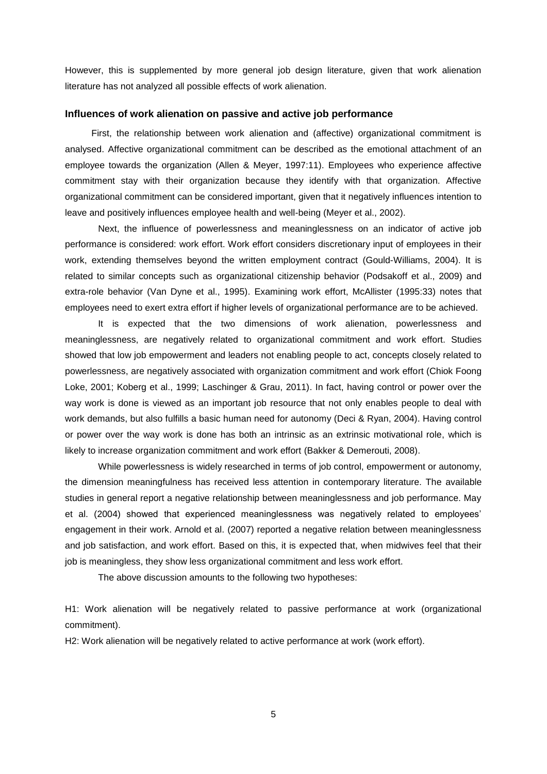However, this is supplemented by more general job design literature, given that work alienation literature has not analyzed all possible effects of work alienation.

#### **Influences of work alienation on passive and active job performance**

First, the relationship between work alienation and (affective) organizational commitment is analysed. Affective organizational commitment can be described as the emotional attachment of an employee towards the organization (Allen & Meyer, 1997:11). Employees who experience affective commitment stay with their organization because they identify with that organization. Affective organizational commitment can be considered important, given that it negatively influences intention to leave and positively influences employee health and well-being (Meyer et al., 2002).

Next, the influence of powerlessness and meaninglessness on an indicator of active job performance is considered: work effort. Work effort considers discretionary input of employees in their work, extending themselves beyond the written employment contract (Gould-Williams, 2004). It is related to similar concepts such as organizational citizenship behavior (Podsakoff et al., 2009) and extra-role behavior (Van Dyne et al., 1995). Examining work effort, McAllister (1995:33) notes that employees need to exert extra effort if higher levels of organizational performance are to be achieved.

It is expected that the two dimensions of work alienation, powerlessness and meaninglessness, are negatively related to organizational commitment and work effort. Studies showed that low job empowerment and leaders not enabling people to act, concepts closely related to powerlessness, are negatively associated with organization commitment and work effort (Chiok Foong Loke, 2001; Koberg et al., 1999; Laschinger & Grau, 2011). In fact, having control or power over the way work is done is viewed as an important job resource that not only enables people to deal with work demands, but also fulfills a basic human need for autonomy (Deci & Ryan, 2004). Having control or power over the way work is done has both an intrinsic as an extrinsic motivational role, which is likely to increase organization commitment and work effort (Bakker & Demerouti, 2008).

While powerlessness is widely researched in terms of job control, empowerment or autonomy, the dimension meaningfulness has received less attention in contemporary literature. The available studies in general report a negative relationship between meaninglessness and job performance. May et al. (2004) showed that experienced meaninglessness was negatively related to employees' engagement in their work. Arnold et al. (2007) reported a negative relation between meaninglessness and job satisfaction, and work effort. Based on this, it is expected that, when midwives feel that their job is meaningless, they show less organizational commitment and less work effort.

The above discussion amounts to the following two hypotheses:

H1: Work alienation will be negatively related to passive performance at work (organizational commitment).

H2: Work alienation will be negatively related to active performance at work (work effort).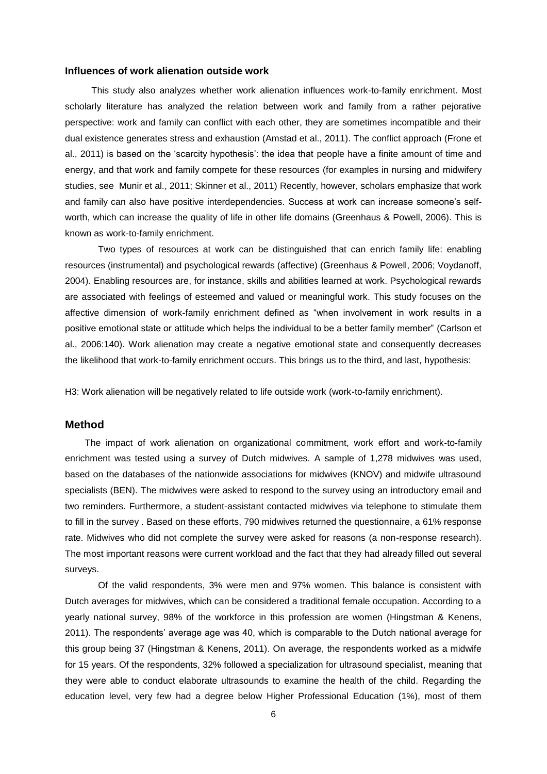# **Influences of work alienation outside work**

This study also analyzes whether work alienation influences work-to-family enrichment. Most scholarly literature has analyzed the relation between work and family from a rather pejorative perspective: work and family can conflict with each other, they are sometimes incompatible and their dual existence generates stress and exhaustion (Amstad et al., 2011). The conflict approach (Frone et al., 2011) is based on the 'scarcity hypothesis': the idea that people have a finite amount of time and energy, and that work and family compete for these resources (for examples in nursing and midwifery studies, see Munir et al., 2011; Skinner et al., 2011) Recently, however, scholars emphasize that work and family can also have positive interdependencies. Success at work can increase someone's selfworth, which can increase the quality of life in other life domains (Greenhaus & Powell, 2006). This is known as work-to-family enrichment.

Two types of resources at work can be distinguished that can enrich family life: enabling resources (instrumental) and psychological rewards (affective) (Greenhaus & Powell, 2006; Voydanoff, 2004). Enabling resources are, for instance, skills and abilities learned at work. Psychological rewards are associated with feelings of esteemed and valued or meaningful work. This study focuses on the affective dimension of work-family enrichment defined as "when involvement in work results in a positive emotional state or attitude which helps the individual to be a better family member" (Carlson et al., 2006:140). Work alienation may create a negative emotional state and consequently decreases the likelihood that work-to-family enrichment occurs. This brings us to the third, and last, hypothesis:

H3: Work alienation will be negatively related to life outside work (work-to-family enrichment).

# **Method**

The impact of work alienation on organizational commitment, work effort and work-to-family enrichment was tested using a survey of Dutch midwives. A sample of 1,278 midwives was used, based on the databases of the nationwide associations for midwives (KNOV) and midwife ultrasound specialists (BEN). The midwives were asked to respond to the survey using an introductory email and two reminders. Furthermore, a student-assistant contacted midwives via telephone to stimulate them to fill in the survey . Based on these efforts, 790 midwives returned the questionnaire, a 61% response rate. Midwives who did not complete the survey were asked for reasons (a non-response research). The most important reasons were current workload and the fact that they had already filled out several surveys.

Of the valid respondents, 3% were men and 97% women. This balance is consistent with Dutch averages for midwives, which can be considered a traditional female occupation. According to a yearly national survey, 98% of the workforce in this profession are women (Hingstman & Kenens, 2011). The respondents' average age was 40, which is comparable to the Dutch national average for this group being 37 (Hingstman & Kenens, 2011). On average, the respondents worked as a midwife for 15 years. Of the respondents, 32% followed a specialization for ultrasound specialist, meaning that they were able to conduct elaborate ultrasounds to examine the health of the child. Regarding the education level, very few had a degree below Higher Professional Education (1%), most of them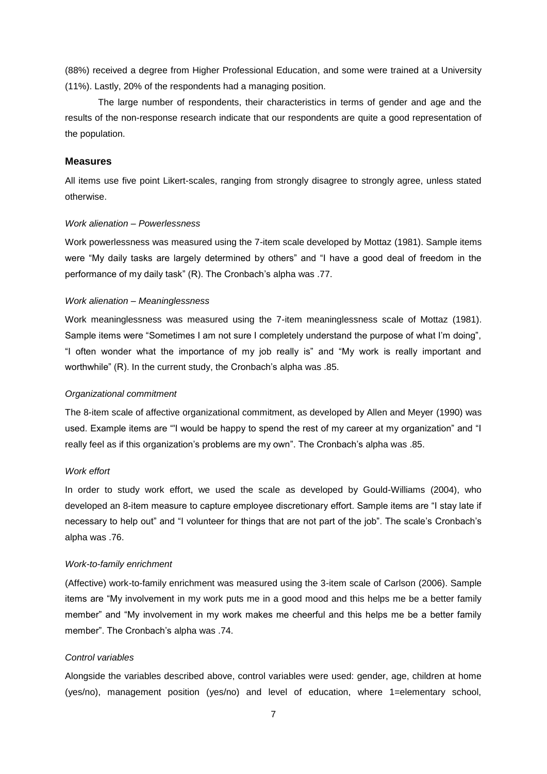(88%) received a degree from Higher Professional Education, and some were trained at a University (11%). Lastly, 20% of the respondents had a managing position.

The large number of respondents, their characteristics in terms of gender and age and the results of the non-response research indicate that our respondents are quite a good representation of the population.

#### **Measures**

All items use five point Likert-scales, ranging from strongly disagree to strongly agree, unless stated otherwise.

#### *Work alienation – Powerlessness*

Work powerlessness was measured using the 7-item scale developed by Mottaz (1981). Sample items were "My daily tasks are largely determined by others" and "I have a good deal of freedom in the performance of my daily task" (R). The Cronbach's alpha was .77.

#### *Work alienation – Meaninglessness*

Work meaninglessness was measured using the 7-item meaninglessness scale of Mottaz (1981). Sample items were "Sometimes I am not sure I completely understand the purpose of what I'm doing", "I often wonder what the importance of my job really is" and "My work is really important and worthwhile" (R). In the current study, the Cronbach's alpha was .85.

#### *Organizational commitment*

The 8-item scale of affective organizational commitment, as developed by Allen and Meyer (1990) was used. Example items are "'I would be happy to spend the rest of my career at my organization" and "I really feel as if this organization's problems are my own". The Cronbach's alpha was .85.

#### *Work effort*

In order to study work effort, we used the scale as developed by Gould-Williams (2004), who developed an 8-item measure to capture employee discretionary effort. Sample items are "I stay late if necessary to help out" and "I volunteer for things that are not part of the job". The scale's Cronbach's alpha was .76.

#### *Work-to-family enrichment*

(Affective) work-to-family enrichment was measured using the 3-item scale of Carlson (2006). Sample items are "My involvement in my work puts me in a good mood and this helps me be a better family member" and "My involvement in my work makes me cheerful and this helps me be a better family member". The Cronbach's alpha was .74.

#### *Control variables*

Alongside the variables described above, control variables were used: gender, age, children at home (yes/no), management position (yes/no) and level of education, where 1=elementary school,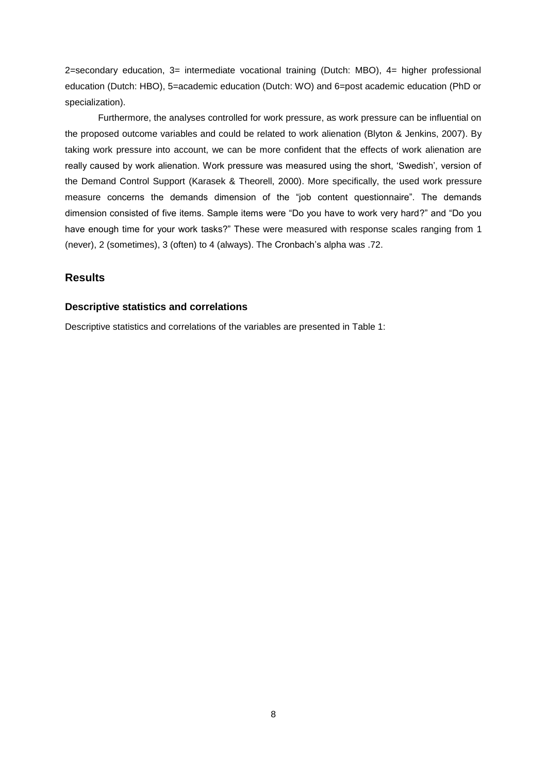2=secondary education, 3= intermediate vocational training (Dutch: MBO), 4= higher professional education (Dutch: HBO), 5=academic education (Dutch: WO) and 6=post academic education (PhD or specialization).

Furthermore, the analyses controlled for work pressure, as work pressure can be influential on the proposed outcome variables and could be related to work alienation (Blyton & Jenkins, 2007). By taking work pressure into account, we can be more confident that the effects of work alienation are really caused by work alienation. Work pressure was measured using the short, 'Swedish', version of the Demand Control Support (Karasek & Theorell, 2000). More specifically, the used work pressure measure concerns the demands dimension of the "job content questionnaire". The demands dimension consisted of five items. Sample items were "Do you have to work very hard?" and "Do you have enough time for your work tasks?" These were measured with response scales ranging from 1 (never), 2 (sometimes), 3 (often) to 4 (always). The Cronbach's alpha was .72.

# **Results**

# **Descriptive statistics and correlations**

Descriptive statistics and correlations of the variables are presented in Table 1: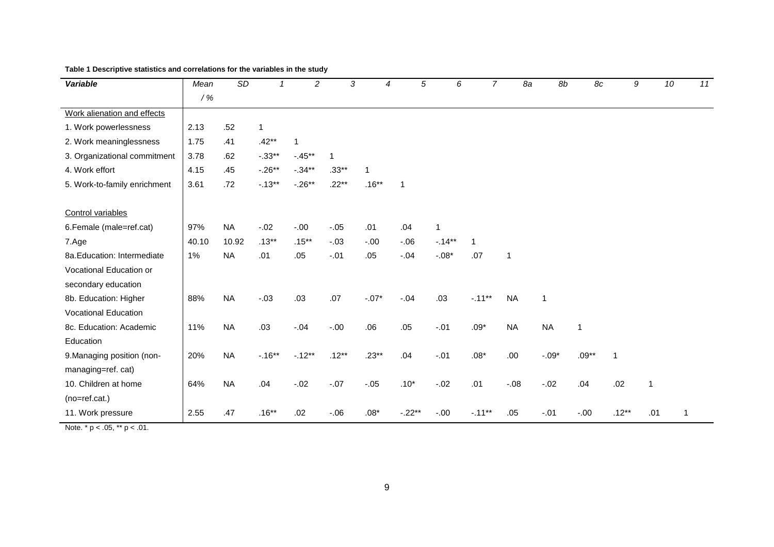| <b>Variable</b>                                                                                                                                                                                                                                                                                                                                                                                                                                                                                                                                            | Mean  | SD        |              | $\overline{a}$ | 3        | 4             |              | 5<br>6      | $\overline{7}$ | 8a           | 8b           | 8c          | 9       | 10           | 11 |
|------------------------------------------------------------------------------------------------------------------------------------------------------------------------------------------------------------------------------------------------------------------------------------------------------------------------------------------------------------------------------------------------------------------------------------------------------------------------------------------------------------------------------------------------------------|-------|-----------|--------------|----------------|----------|---------------|--------------|-------------|----------------|--------------|--------------|-------------|---------|--------------|----|
|                                                                                                                                                                                                                                                                                                                                                                                                                                                                                                                                                            | $/$ % |           |              |                |          |               |              |             |                |              |              |             |         |              |    |
| Work alienation and effects                                                                                                                                                                                                                                                                                                                                                                                                                                                                                                                                |       |           |              |                |          |               |              |             |                |              |              |             |         |              |    |
| 1. Work powerlessness                                                                                                                                                                                                                                                                                                                                                                                                                                                                                                                                      | 2.13  | .52       | $\mathbf{1}$ |                |          |               |              |             |                |              |              |             |         |              |    |
| 2. Work meaninglessness                                                                                                                                                                                                                                                                                                                                                                                                                                                                                                                                    | 1.75  | .41       | $.42**$      | 1              |          |               |              |             |                |              |              |             |         |              |    |
| 3. Organizational commitment                                                                                                                                                                                                                                                                                                                                                                                                                                                                                                                               | 3.78  | .62       | $-.33**$     | $-45**$        | 1        |               |              |             |                |              |              |             |         |              |    |
| 4. Work effort                                                                                                                                                                                                                                                                                                                                                                                                                                                                                                                                             | 4.15  | .45       | $-.26**$     | $-.34**$       | $.33**$  | 1             |              |             |                |              |              |             |         |              |    |
| 5. Work-to-family enrichment                                                                                                                                                                                                                                                                                                                                                                                                                                                                                                                               | 3.61  | .72       | $-.13**$     | $-.26**$       | $.22***$ | $.16**$       | $\mathbf{1}$ |             |                |              |              |             |         |              |    |
|                                                                                                                                                                                                                                                                                                                                                                                                                                                                                                                                                            |       |           |              |                |          |               |              |             |                |              |              |             |         |              |    |
| Control variables                                                                                                                                                                                                                                                                                                                                                                                                                                                                                                                                          |       |           |              |                |          |               |              |             |                |              |              |             |         |              |    |
| 6. Female (male=ref.cat)                                                                                                                                                                                                                                                                                                                                                                                                                                                                                                                                   | 97%   | <b>NA</b> | $-.02$       | $-.00$         | $-.05$   | .01           | .04          | $\mathbf 1$ |                |              |              |             |         |              |    |
| 7.Age                                                                                                                                                                                                                                                                                                                                                                                                                                                                                                                                                      | 40.10 | 10.92     | $.13***$     | $.15***$       | $-03$    | $-.00$        | $-.06$       | $-.14**$    | 1              |              |              |             |         |              |    |
| 8a. Education: Intermediate                                                                                                                                                                                                                                                                                                                                                                                                                                                                                                                                | 1%    | <b>NA</b> | .01          | .05            | $-.01$   | .05           | $-.04$       | $-.08*$     | .07            | $\mathbf{1}$ |              |             |         |              |    |
| Vocational Education or                                                                                                                                                                                                                                                                                                                                                                                                                                                                                                                                    |       |           |              |                |          |               |              |             |                |              |              |             |         |              |    |
| secondary education                                                                                                                                                                                                                                                                                                                                                                                                                                                                                                                                        |       |           |              |                |          |               |              |             |                |              |              |             |         |              |    |
| 8b. Education: Higher                                                                                                                                                                                                                                                                                                                                                                                                                                                                                                                                      | 88%   | <b>NA</b> | $-.03$       | .03            | .07      | $-.07*$       | $-.04$       | .03         | $-.11**$       | <b>NA</b>    | $\mathbf{1}$ |             |         |              |    |
| <b>Vocational Education</b>                                                                                                                                                                                                                                                                                                                                                                                                                                                                                                                                |       |           |              |                |          |               |              |             |                |              |              |             |         |              |    |
| 8c. Education: Academic                                                                                                                                                                                                                                                                                                                                                                                                                                                                                                                                    | 11%   | <b>NA</b> | .03          | $-.04$         | $-0.00$  | .06           | .05          | $-.01$      | $.09*$         | <b>NA</b>    | <b>NA</b>    | $\mathbf 1$ |         |              |    |
| Education                                                                                                                                                                                                                                                                                                                                                                                                                                                                                                                                                  |       |           |              |                |          |               |              |             |                |              |              |             |         |              |    |
| 9. Managing position (non-                                                                                                                                                                                                                                                                                                                                                                                                                                                                                                                                 | 20%   | <b>NA</b> | $-.16**$     | $-.12**$       | $.12**$  | $.23**$       | .04          | $-.01$      | $.08*$         | .00.         | $-.09*$      | $.09**$     | 1       |              |    |
| managing=ref. cat)                                                                                                                                                                                                                                                                                                                                                                                                                                                                                                                                         |       |           |              |                |          |               |              |             |                |              |              |             |         |              |    |
| 10. Children at home                                                                                                                                                                                                                                                                                                                                                                                                                                                                                                                                       | 64%   | <b>NA</b> | .04          | $-.02$         | $-.07$   | $-.05$        | $.10*$       | $-0.02$     | .01            | $-.08$       | $-.02$       | .04         | .02     | $\mathbf{1}$ |    |
| $(no=ref.cat.)$                                                                                                                                                                                                                                                                                                                                                                                                                                                                                                                                            |       |           |              |                |          |               |              |             |                |              |              |             |         |              |    |
| 11. Work pressure                                                                                                                                                                                                                                                                                                                                                                                                                                                                                                                                          | 2.55  | .47       | $.16**$      | .02            | $-0.06$  | $.08^{\star}$ | $-.22**$     | $-.00$      | $-.11**$       | .05          | $-.01$       | $-0.00$     | $.12**$ | .01          | 1  |
| Note $\stackrel{*}{\bullet}$ $\stackrel{\bullet}{\bullet}$ $\stackrel{\bullet}{\bullet}$ $\stackrel{\bullet}{\bullet}$ $\stackrel{\bullet}{\bullet}$ $\stackrel{\bullet}{\bullet}$ $\stackrel{\bullet}{\bullet}$ $\stackrel{\bullet}{\bullet}$ $\stackrel{\bullet}{\bullet}$ $\stackrel{\bullet}{\bullet}$ $\stackrel{\bullet}{\bullet}$ $\stackrel{\bullet}{\bullet}$ $\stackrel{\bullet}{\bullet}$ $\stackrel{\bullet}{\bullet}$ $\stackrel{\bullet}{\bullet}$ $\stackrel{\bullet}{\bullet}$ $\stackrel{\bullet}{\bullet}$ $\stackrel{\bullet}{\bullet}$ |       |           |              |                |          |               |              |             |                |              |              |             |         |              |    |

**Table 1 Descriptive statistics and correlations for the variables in the study**

Note.  $* p < .05$ ,  $** p < .01$ .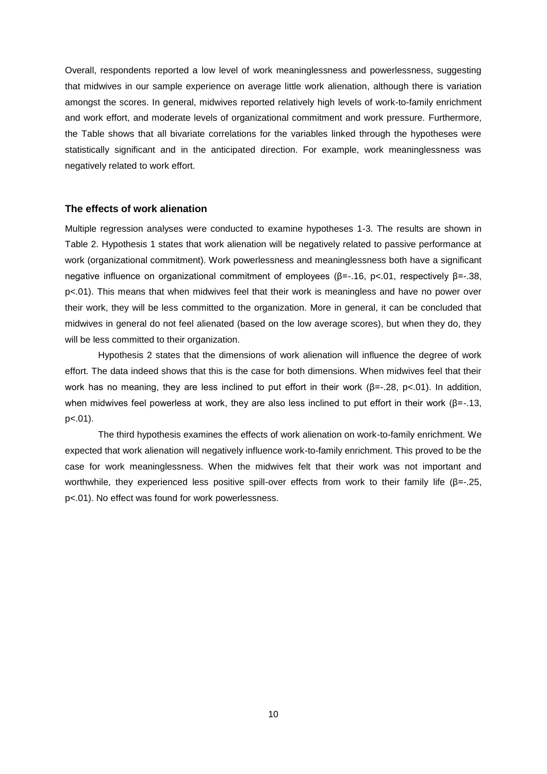Overall, respondents reported a low level of work meaninglessness and powerlessness, suggesting that midwives in our sample experience on average little work alienation, although there is variation amongst the scores. In general, midwives reported relatively high levels of work-to-family enrichment and work effort, and moderate levels of organizational commitment and work pressure. Furthermore, the Table shows that all bivariate correlations for the variables linked through the hypotheses were statistically significant and in the anticipated direction. For example, work meaninglessness was negatively related to work effort.

# **The effects of work alienation**

Multiple regression analyses were conducted to examine hypotheses 1-3. The results are shown in Table 2. Hypothesis 1 states that work alienation will be negatively related to passive performance at work (organizational commitment). Work powerlessness and meaninglessness both have a significant negative influence on organizational commitment of employees (β=-.16, p<.01, respectively β=-.38, p<.01). This means that when midwives feel that their work is meaningless and have no power over their work, they will be less committed to the organization. More in general, it can be concluded that midwives in general do not feel alienated (based on the low average scores), but when they do, they will be less committed to their organization.

Hypothesis 2 states that the dimensions of work alienation will influence the degree of work effort. The data indeed shows that this is the case for both dimensions. When midwives feel that their work has no meaning, they are less inclined to put effort in their work (β=-.28, p<.01). In addition, when midwives feel powerless at work, they are also less inclined to put effort in their work (β=-.13,  $p<.01$ ).

The third hypothesis examines the effects of work alienation on work-to-family enrichment. We expected that work alienation will negatively influence work-to-family enrichment. This proved to be the case for work meaninglessness. When the midwives felt that their work was not important and worthwhile, they experienced less positive spill-over effects from work to their family life (β=-.25, p<.01). No effect was found for work powerlessness.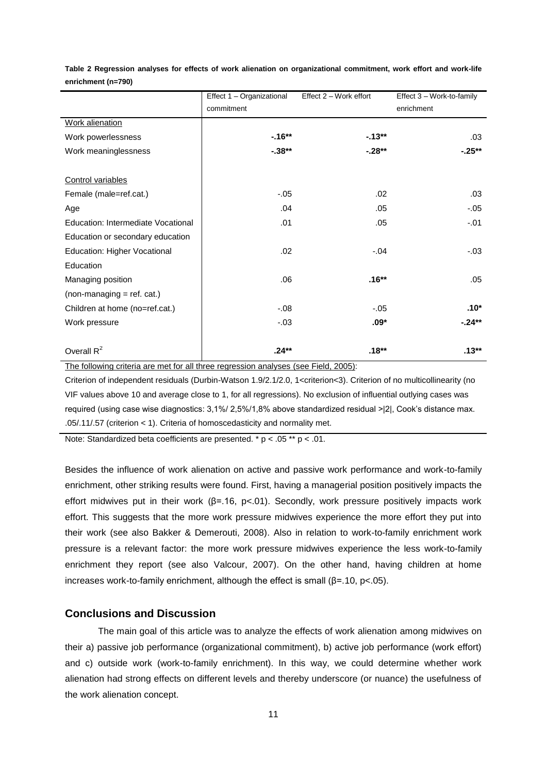|                                    | Effect 1 - Organizational | Effect 2 - Work effort | Effect 3 - Work-to-family |
|------------------------------------|---------------------------|------------------------|---------------------------|
|                                    | commitment                |                        | enrichment                |
| Work alienation                    |                           |                        |                           |
| Work powerlessness                 | $-16**$                   | $-13**$                | .03                       |
| Work meaninglessness               | $-.38**$                  | $-28**$                | $-25**$                   |
|                                    |                           |                        |                           |
| Control variables                  |                           |                        |                           |
| Female (male=ref.cat.)             | $-.05$                    | .02                    | .03                       |
| Age                                | .04                       | .05                    | $-.05$                    |
| Education: Intermediate Vocational | .01                       | .05                    | $-.01$                    |
| Education or secondary education   |                           |                        |                           |
| Education: Higher Vocational       | .02                       | $-.04$                 | $-.03$                    |
| Education                          |                           |                        |                           |
| Managing position                  | .06                       | $.16**$                | .05                       |
| $non-managing = ref. cat.)$        |                           |                        |                           |
| Children at home (no=ref.cat.)     | $-0.08$                   | $-.05$                 | $.10*$                    |
| Work pressure                      | $-.03$                    | $.09*$                 | $-24**$                   |
|                                    |                           |                        |                           |
| Overall $R^2$                      | $.24***$                  | .18**                  | $.13**$                   |

**Table 2 Regression analyses for effects of work alienation on organizational commitment, work effort and work-life enrichment (n=790)**

The following criteria are met for all three regression analyses (see Field, 2005):

Criterion of independent residuals (Durbin-Watson 1.9/2.1/2.0, 1<criterion<3). Criterion of no multicollinearity (no VIF values above 10 and average close to 1, for all regressions). No exclusion of influential outlying cases was required (using case wise diagnostics: 3,1%/ 2,5%/1,8% above standardized residual >|2|, Cook's distance max. .05/.11/.57 (criterion < 1). Criteria of homoscedasticity and normality met.

Note: Standardized beta coefficients are presented. \*  $p < .05$  \*\*  $p < .01$ .

Besides the influence of work alienation on active and passive work performance and work-to-family enrichment, other striking results were found. First, having a managerial position positively impacts the effort midwives put in their work (β=.16, p<.01). Secondly, work pressure positively impacts work effort. This suggests that the more work pressure midwives experience the more effort they put into their work (see also Bakker & Demerouti, 2008). Also in relation to work-to-family enrichment work pressure is a relevant factor: the more work pressure midwives experience the less work-to-family enrichment they report (see also Valcour, 2007). On the other hand, having children at home increases work-to-family enrichment, although the effect is small (β=.10, p<.05).

# **Conclusions and Discussion**

The main goal of this article was to analyze the effects of work alienation among midwives on their a) passive job performance (organizational commitment), b) active job performance (work effort) and c) outside work (work-to-family enrichment). In this way, we could determine whether work alienation had strong effects on different levels and thereby underscore (or nuance) the usefulness of the work alienation concept.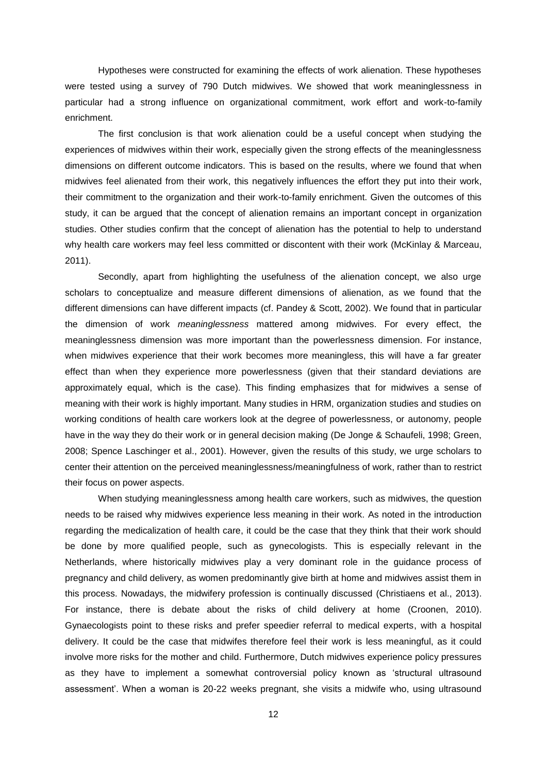Hypotheses were constructed for examining the effects of work alienation. These hypotheses were tested using a survey of 790 Dutch midwives. We showed that work meaninglessness in particular had a strong influence on organizational commitment, work effort and work-to-family enrichment.

The first conclusion is that work alienation could be a useful concept when studying the experiences of midwives within their work, especially given the strong effects of the meaninglessness dimensions on different outcome indicators. This is based on the results, where we found that when midwives feel alienated from their work, this negatively influences the effort they put into their work, their commitment to the organization and their work-to-family enrichment. Given the outcomes of this study, it can be argued that the concept of alienation remains an important concept in organization studies. Other studies confirm that the concept of alienation has the potential to help to understand why health care workers may feel less committed or discontent with their work (McKinlay & Marceau, 2011).

Secondly, apart from highlighting the usefulness of the alienation concept, we also urge scholars to conceptualize and measure different dimensions of alienation, as we found that the different dimensions can have different impacts (cf. Pandey & Scott, 2002). We found that in particular the dimension of work *meaninglessness* mattered among midwives. For every effect, the meaninglessness dimension was more important than the powerlessness dimension. For instance, when midwives experience that their work becomes more meaningless, this will have a far greater effect than when they experience more powerlessness (given that their standard deviations are approximately equal, which is the case). This finding emphasizes that for midwives a sense of meaning with their work is highly important. Many studies in HRM, organization studies and studies on working conditions of health care workers look at the degree of powerlessness, or autonomy, people have in the way they do their work or in general decision making (De Jonge & Schaufeli, 1998; Green, 2008; Spence Laschinger et al., 2001). However, given the results of this study, we urge scholars to center their attention on the perceived meaninglessness/meaningfulness of work, rather than to restrict their focus on power aspects.

When studying meaninglessness among health care workers, such as midwives, the question needs to be raised why midwives experience less meaning in their work. As noted in the introduction regarding the medicalization of health care, it could be the case that they think that their work should be done by more qualified people, such as gynecologists. This is especially relevant in the Netherlands, where historically midwives play a very dominant role in the guidance process of pregnancy and child delivery, as women predominantly give birth at home and midwives assist them in this process. Nowadays, the midwifery profession is continually discussed (Christiaens et al., 2013). For instance, there is debate about the risks of child delivery at home (Croonen, 2010). Gynaecologists point to these risks and prefer speedier referral to medical experts, with a hospital delivery. It could be the case that midwifes therefore feel their work is less meaningful, as it could involve more risks for the mother and child. Furthermore, Dutch midwives experience policy pressures as they have to implement a somewhat controversial policy known as 'structural ultrasound assessment'. When a woman is 20-22 weeks pregnant, she visits a midwife who, using ultrasound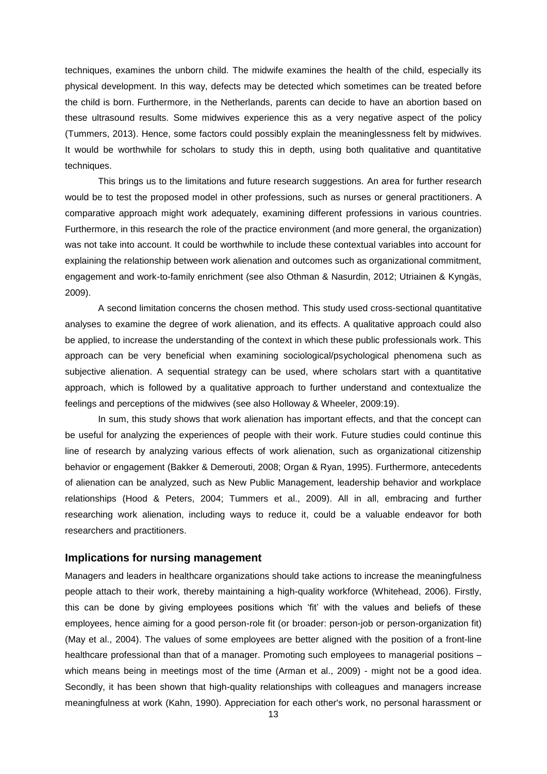techniques, examines the unborn child. The midwife examines the health of the child, especially its physical development. In this way, defects may be detected which sometimes can be treated before the child is born. Furthermore, in the Netherlands, parents can decide to have an abortion based on these ultrasound results. Some midwives experience this as a very negative aspect of the policy (Tummers, 2013). Hence, some factors could possibly explain the meaninglessness felt by midwives. It would be worthwhile for scholars to study this in depth, using both qualitative and quantitative techniques.

This brings us to the limitations and future research suggestions. An area for further research would be to test the proposed model in other professions, such as nurses or general practitioners. A comparative approach might work adequately, examining different professions in various countries. Furthermore, in this research the role of the practice environment (and more general, the organization) was not take into account. It could be worthwhile to include these contextual variables into account for explaining the relationship between work alienation and outcomes such as organizational commitment, engagement and work-to-family enrichment (see also Othman & Nasurdin, 2012; Utriainen & Kyngäs, 2009).

A second limitation concerns the chosen method. This study used cross-sectional quantitative analyses to examine the degree of work alienation, and its effects. A qualitative approach could also be applied, to increase the understanding of the context in which these public professionals work. This approach can be very beneficial when examining sociological/psychological phenomena such as subjective alienation. A sequential strategy can be used, where scholars start with a quantitative approach, which is followed by a qualitative approach to further understand and contextualize the feelings and perceptions of the midwives (see also Holloway & Wheeler, 2009:19).

In sum, this study shows that work alienation has important effects, and that the concept can be useful for analyzing the experiences of people with their work. Future studies could continue this line of research by analyzing various effects of work alienation, such as organizational citizenship behavior or engagement (Bakker & Demerouti, 2008; Organ & Ryan, 1995). Furthermore, antecedents of alienation can be analyzed, such as New Public Management, leadership behavior and workplace relationships (Hood & Peters, 2004; Tummers et al., 2009). All in all, embracing and further researching work alienation, including ways to reduce it, could be a valuable endeavor for both researchers and practitioners.

# **Implications for nursing management**

Managers and leaders in healthcare organizations should take actions to increase the meaningfulness people attach to their work, thereby maintaining a high-quality workforce (Whitehead, 2006). Firstly, this can be done by giving employees positions which 'fit' with the values and beliefs of these employees, hence aiming for a good person-role fit (or broader: person-job or person-organization fit) (May et al., 2004). The values of some employees are better aligned with the position of a front-line healthcare professional than that of a manager. Promoting such employees to managerial positions – which means being in meetings most of the time (Arman et al., 2009) - might not be a good idea. Secondly, it has been shown that high-quality relationships with colleagues and managers increase meaningfulness at work (Kahn, 1990). Appreciation for each other's work, no personal harassment or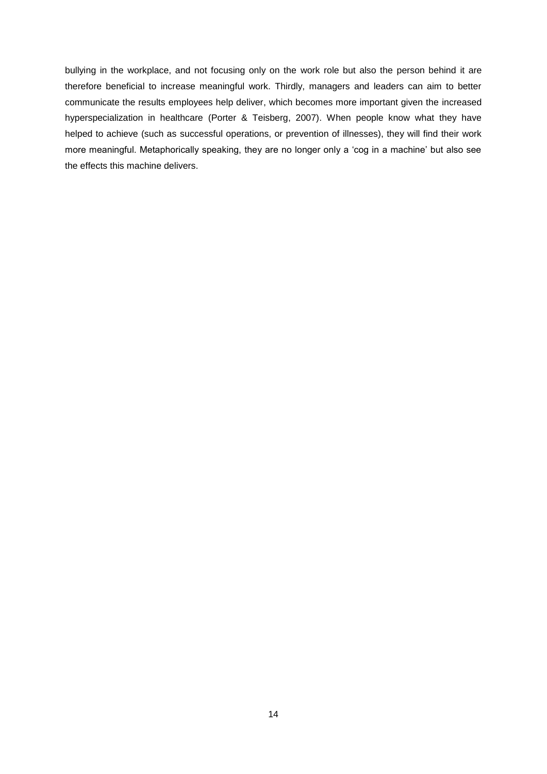bullying in the workplace, and not focusing only on the work role but also the person behind it are therefore beneficial to increase meaningful work. Thirdly, managers and leaders can aim to better communicate the results employees help deliver, which becomes more important given the increased hyperspecialization in healthcare (Porter & Teisberg, 2007). When people know what they have helped to achieve (such as successful operations, or prevention of illnesses), they will find their work more meaningful. Metaphorically speaking, they are no longer only a 'cog in a machine' but also see the effects this machine delivers.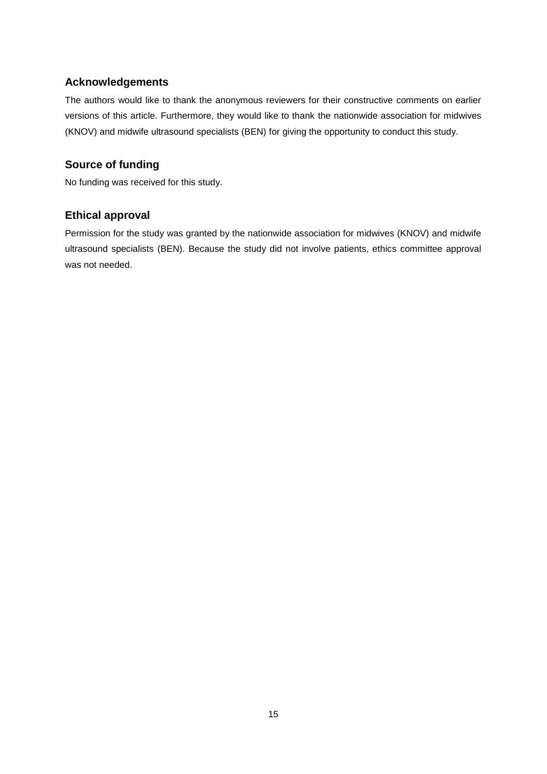# **Acknowledgements**

The authors would like to thank the anonymous reviewers for their constructive comments on earlier versions of this article. Furthermore, they would like to thank the nationwide association for midwives (KNOV) and midwife ultrasound specialists (BEN) for giving the opportunity to conduct this study.

# **Source of funding**

No funding was received for this study.

# **Ethical approval**

Permission for the study was granted by the nationwide association for midwives (KNOV) and midwife ultrasound specialists (BEN). Because the study did not involve patients, ethics committee approval was not needed.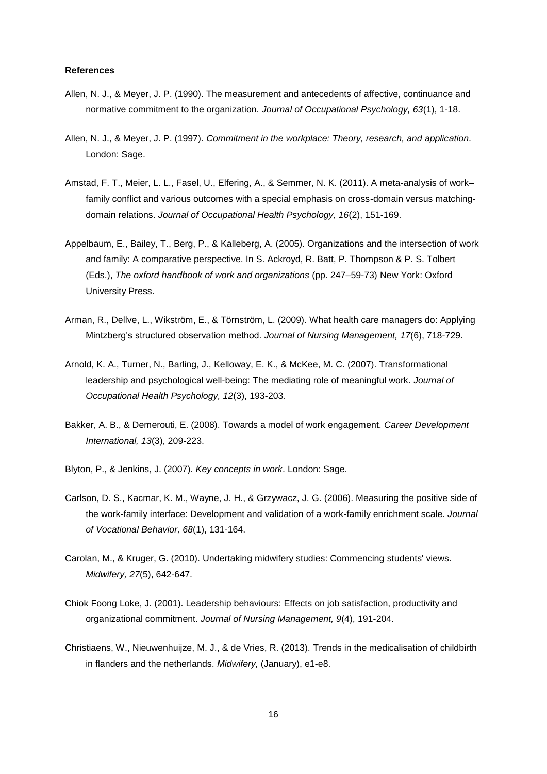### **References**

- Allen, N. J., & Meyer, J. P. (1990). The measurement and antecedents of affective, continuance and normative commitment to the organization. *Journal of Occupational Psychology, 63*(1), 1-18.
- Allen, N. J., & Meyer, J. P. (1997). *Commitment in the workplace: Theory, research, and application*. London: Sage.
- Amstad, F. T., Meier, L. L., Fasel, U., Elfering, A., & Semmer, N. K. (2011). A meta-analysis of work– family conflict and various outcomes with a special emphasis on cross-domain versus matchingdomain relations. *Journal of Occupational Health Psychology, 16*(2), 151-169.
- Appelbaum, E., Bailey, T., Berg, P., & Kalleberg, A. (2005). Organizations and the intersection of work and family: A comparative perspective. In S. Ackroyd, R. Batt, P. Thompson & P. S. Tolbert (Eds.), *The oxford handbook of work and organizations* (pp. 247–59-73) New York: Oxford University Press.
- Arman, R., Dellve, L., Wikström, E., & Törnström, L. (2009). What health care managers do: Applying Mintzberg's structured observation method. *Journal of Nursing Management, 17*(6), 718-729.
- Arnold, K. A., Turner, N., Barling, J., Kelloway, E. K., & McKee, M. C. (2007). Transformational leadership and psychological well-being: The mediating role of meaningful work. *Journal of Occupational Health Psychology, 12*(3), 193-203.
- Bakker, A. B., & Demerouti, E. (2008). Towards a model of work engagement. *Career Development International, 13*(3), 209-223.
- Blyton, P., & Jenkins, J. (2007). *Key concepts in work*. London: Sage.
- Carlson, D. S., Kacmar, K. M., Wayne, J. H., & Grzywacz, J. G. (2006). Measuring the positive side of the work-family interface: Development and validation of a work-family enrichment scale. *Journal of Vocational Behavior, 68*(1), 131-164.
- Carolan, M., & Kruger, G. (2010). Undertaking midwifery studies: Commencing students' views. *Midwifery, 27*(5), 642-647.
- Chiok Foong Loke, J. (2001). Leadership behaviours: Effects on job satisfaction, productivity and organizational commitment. *Journal of Nursing Management, 9*(4), 191-204.
- Christiaens, W., Nieuwenhuijze, M. J., & de Vries, R. (2013). Trends in the medicalisation of childbirth in flanders and the netherlands. *Midwifery,* (January), e1-e8.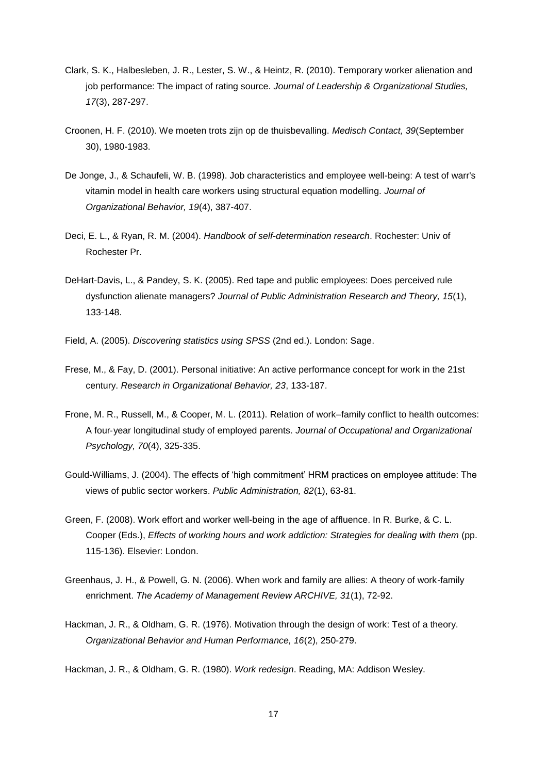- Clark, S. K., Halbesleben, J. R., Lester, S. W., & Heintz, R. (2010). Temporary worker alienation and job performance: The impact of rating source. *Journal of Leadership & Organizational Studies, 17*(3), 287-297.
- Croonen, H. F. (2010). We moeten trots zijn op de thuisbevalling. *Medisch Contact, 39*(September 30), 1980-1983.
- De Jonge, J., & Schaufeli, W. B. (1998). Job characteristics and employee well-being: A test of warr's vitamin model in health care workers using structural equation modelling. *Journal of Organizational Behavior, 19*(4), 387-407.
- Deci, E. L., & Ryan, R. M. (2004). *Handbook of self-determination research*. Rochester: Univ of Rochester Pr.
- DeHart-Davis, L., & Pandey, S. K. (2005). Red tape and public employees: Does perceived rule dysfunction alienate managers? *Journal of Public Administration Research and Theory, 15*(1), 133-148.
- Field, A. (2005). *Discovering statistics using SPSS* (2nd ed.). London: Sage.
- Frese, M., & Fay, D. (2001). Personal initiative: An active performance concept for work in the 21st century. *Research in Organizational Behavior, 23*, 133-187.
- Frone, M. R., Russell, M., & Cooper, M. L. (2011). Relation of work–family conflict to health outcomes: A four‐year longitudinal study of employed parents. *Journal of Occupational and Organizational Psychology, 70*(4), 325-335.
- Gould-Williams, J. (2004). The effects of 'high commitment' HRM practices on employee attitude: The views of public sector workers. *Public Administration, 82*(1), 63-81.
- Green, F. (2008). Work effort and worker well-being in the age of affluence. In R. Burke, & C. L. Cooper (Eds.), *Effects of working hours and work addiction: Strategies for dealing with them* (pp. 115-136). Elsevier: London.
- Greenhaus, J. H., & Powell, G. N. (2006). When work and family are allies: A theory of work-family enrichment. *The Academy of Management Review ARCHIVE, 31*(1), 72-92.
- Hackman, J. R., & Oldham, G. R. (1976). Motivation through the design of work: Test of a theory. *Organizational Behavior and Human Performance, 16*(2), 250-279.

Hackman, J. R., & Oldham, G. R. (1980). *Work redesign*. Reading, MA: Addison Wesley.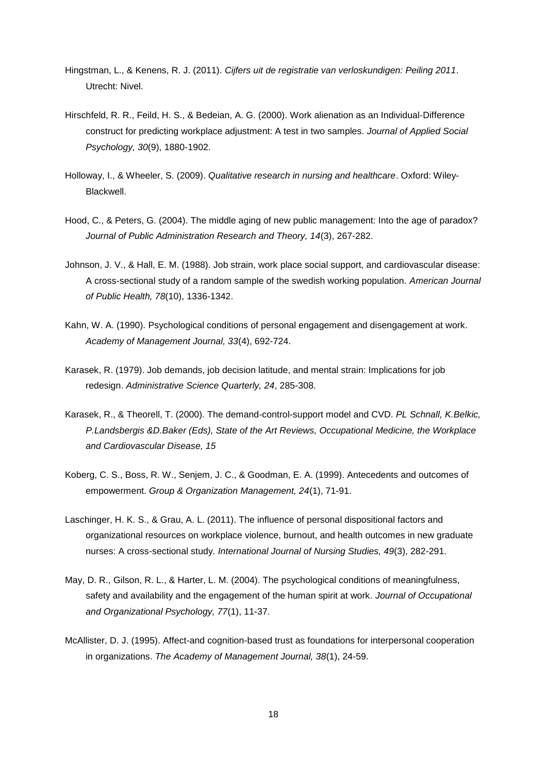- Hingstman, L., & Kenens, R. J. (2011). *Cijfers uit de registratie van verloskundigen: Peiling 2011*. Utrecht: Nivel.
- Hirschfeld, R. R., Feild, H. S., & Bedeian, A. G. (2000). Work alienation as an Individual‐Difference construct for predicting workplace adjustment: A test in two samples. *Journal of Applied Social Psychology, 30*(9), 1880-1902.
- Holloway, I., & Wheeler, S. (2009). *Qualitative research in nursing and healthcare*. Oxford: Wiley-Blackwell.
- Hood, C., & Peters, G. (2004). The middle aging of new public management: Into the age of paradox? *Journal of Public Administration Research and Theory, 14*(3), 267-282.
- Johnson, J. V., & Hall, E. M. (1988). Job strain, work place social support, and cardiovascular disease: A cross-sectional study of a random sample of the swedish working population. *American Journal of Public Health, 78*(10), 1336-1342.
- Kahn, W. A. (1990). Psychological conditions of personal engagement and disengagement at work. *Academy of Management Journal, 33*(4), 692-724.
- Karasek, R. (1979). Job demands, job decision latitude, and mental strain: Implications for job redesign. *Administrative Science Quarterly, 24*, 285-308.
- Karasek, R., & Theorell, T. (2000). The demand-control-support model and CVD. *PL Schnall, K.Belkic, P.Landsbergis &D.Baker (Eds), State of the Art Reviews, Occupational Medicine, the Workplace and Cardiovascular Disease, 15*
- Koberg, C. S., Boss, R. W., Senjem, J. C., & Goodman, E. A. (1999). Antecedents and outcomes of empowerment. *Group & Organization Management, 24*(1), 71-91.
- Laschinger, H. K. S., & Grau, A. L. (2011). The influence of personal dispositional factors and organizational resources on workplace violence, burnout, and health outcomes in new graduate nurses: A cross-sectional study. *International Journal of Nursing Studies, 49*(3), 282-291.
- May, D. R., Gilson, R. L., & Harter, L. M. (2004). The psychological conditions of meaningfulness, safety and availability and the engagement of the human spirit at work. *Journal of Occupational and Organizational Psychology, 77*(1), 11-37.
- McAllister, D. J. (1995). Affect-and cognition-based trust as foundations for interpersonal cooperation in organizations. *The Academy of Management Journal, 38*(1), 24-59.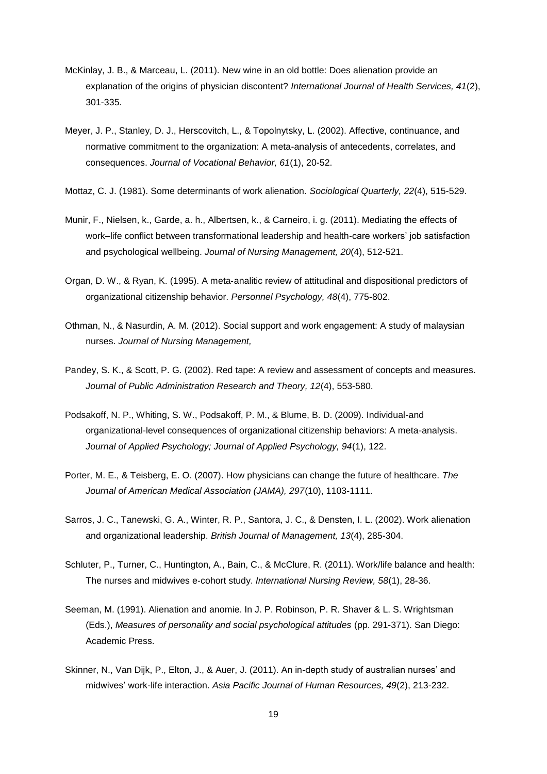- McKinlay, J. B., & Marceau, L. (2011). New wine in an old bottle: Does alienation provide an explanation of the origins of physician discontent? *International Journal of Health Services, 41*(2), 301-335.
- Meyer, J. P., Stanley, D. J., Herscovitch, L., & Topolnytsky, L. (2002). Affective, continuance, and normative commitment to the organization: A meta-analysis of antecedents, correlates, and consequences. *Journal of Vocational Behavior, 61*(1), 20-52.
- Mottaz, C. J. (1981). Some determinants of work alienation. *Sociological Quarterly, 22*(4), 515-529.
- Munir, F., Nielsen, k., Garde, a. h., Albertsen, k., & Carneiro, i. g. (2011). Mediating the effects of work–life conflict between transformational leadership and health‐care workers' job satisfaction and psychological wellbeing. *Journal of Nursing Management, 20*(4), 512-521.
- Organ, D. W., & Ryan, K. (1995). A meta‐analitic review of attitudinal and dispositional predictors of organizational citizenship behavior. *Personnel Psychology, 48*(4), 775-802.
- Othman, N., & Nasurdin, A. M. (2012). Social support and work engagement: A study of malaysian nurses. *Journal of Nursing Management,*
- Pandey, S. K., & Scott, P. G. (2002). Red tape: A review and assessment of concepts and measures. *Journal of Public Administration Research and Theory, 12*(4), 553-580.
- Podsakoff, N. P., Whiting, S. W., Podsakoff, P. M., & Blume, B. D. (2009). Individual-and organizational-level consequences of organizational citizenship behaviors: A meta-analysis. *Journal of Applied Psychology; Journal of Applied Psychology, 94*(1), 122.
- Porter, M. E., & Teisberg, E. O. (2007). How physicians can change the future of healthcare. *The Journal of American Medical Association (JAMA), 297*(10), 1103-1111.
- Sarros, J. C., Tanewski, G. A., Winter, R. P., Santora, J. C., & Densten, I. L. (2002). Work alienation and organizational leadership. *British Journal of Management, 13*(4), 285-304.
- Schluter, P., Turner, C., Huntington, A., Bain, C., & McClure, R. (2011). Work/life balance and health: The nurses and midwives e‐cohort study. *International Nursing Review, 58*(1), 28-36.
- Seeman, M. (1991). Alienation and anomie. In J. P. Robinson, P. R. Shaver & L. S. Wrightsman (Eds.), *Measures of personality and social psychological attitudes* (pp. 291-371). San Diego: Academic Press.
- Skinner, N., Van Dijk, P., Elton, J., & Auer, J. (2011). An in-depth study of australian nurses' and midwives' work-life interaction. *Asia Pacific Journal of Human Resources, 49*(2), 213-232.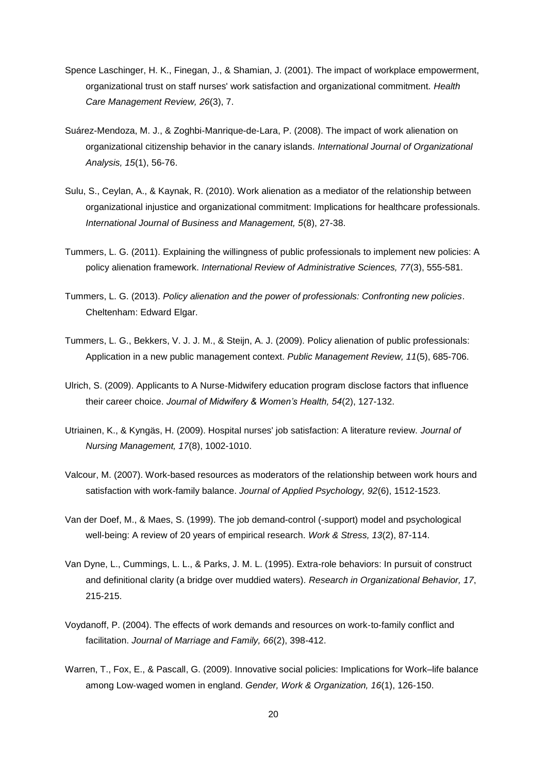- Spence Laschinger, H. K., Finegan, J., & Shamian, J. (2001). The impact of workplace empowerment, organizational trust on staff nurses' work satisfaction and organizational commitment. *Health Care Management Review, 26*(3), 7.
- Suárez-Mendoza, M. J., & Zoghbi-Manrique-de-Lara, P. (2008). The impact of work alienation on organizational citizenship behavior in the canary islands. *International Journal of Organizational Analysis, 15*(1), 56-76.
- Sulu, S., Ceylan, A., & Kaynak, R. (2010). Work alienation as a mediator of the relationship between organizational injustice and organizational commitment: Implications for healthcare professionals. *International Journal of Business and Management, 5*(8), 27-38.
- Tummers, L. G. (2011). Explaining the willingness of public professionals to implement new policies: A policy alienation framework. *International Review of Administrative Sciences, 77*(3), 555-581.
- Tummers, L. G. (2013). *Policy alienation and the power of professionals: Confronting new policies*. Cheltenham: Edward Elgar.
- Tummers, L. G., Bekkers, V. J. J. M., & Steijn, A. J. (2009). Policy alienation of public professionals: Application in a new public management context. *Public Management Review, 11*(5), 685-706.
- Ulrich, S. (2009). Applicants to A Nurse‐Midwifery education program disclose factors that influence their career choice. *Journal of Midwifery & Women's Health, 54*(2), 127-132.
- Utriainen, K., & Kyngäs, H. (2009). Hospital nurses' job satisfaction: A literature review. *Journal of Nursing Management, 17*(8), 1002-1010.
- Valcour, M. (2007). Work-based resources as moderators of the relationship between work hours and satisfaction with work-family balance. *Journal of Applied Psychology, 92*(6), 1512-1523.
- Van der Doef, M., & Maes, S. (1999). The job demand-control (-support) model and psychological well-being: A review of 20 years of empirical research. *Work & Stress, 13*(2), 87-114.
- Van Dyne, L., Cummings, L. L., & Parks, J. M. L. (1995). Extra-role behaviors: In pursuit of construct and definitional clarity (a bridge over muddied waters). *Research in Organizational Behavior, 17*, 215-215.
- Voydanoff, P. (2004). The effects of work demands and resources on work‐to‐family conflict and facilitation. *Journal of Marriage and Family, 66*(2), 398-412.
- Warren, T., Fox, E., & Pascall, G. (2009). Innovative social policies: Implications for Work–life balance among Low‐waged women in england. *Gender, Work & Organization, 16*(1), 126-150.